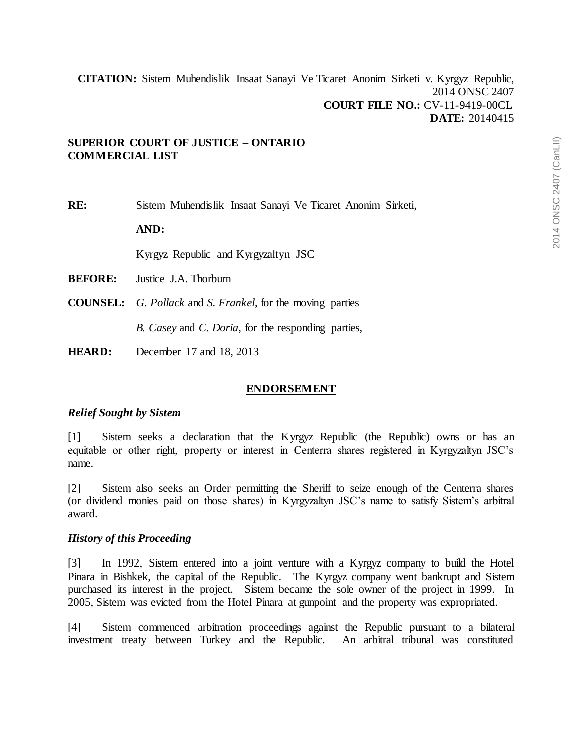## **SUPERIOR COURT OF JUSTICE – ONTARIO COMMERCIAL LIST**

**RE:** Sistem Muhendislik Insaat Sanayi Ve Ticaret Anonim Sirketi,

**AND:**

Kyrgyz Republic and Kyrgyzaltyn JSC

**BEFORE:** Justice J.A. Thorburn

**COUNSEL:** *G. Pollack* and *S. Frankel*, for the moving parties

*B. Casey* and *C. Doria*, for the responding parties,

**HEARD:** December 17 and 18, 2013

#### **ENDORSEMENT**

#### *Relief Sought by Sistem*

[1] Sistem seeks a declaration that the Kyrgyz Republic (the Republic) owns or has an equitable or other right, property or interest in Centerra shares registered in Kyrgyzaltyn JSC's name.

[2] Sistem also seeks an Order permitting the Sheriff to seize enough of the Centerra shares (or dividend monies paid on those shares) in Kyrgyzaltyn JSC's name to satisfy Sistem's arbitral award.

#### *History of this Proceeding*

[3] In 1992, Sistem entered into a joint venture with a Kyrgyz company to build the Hotel Pinara in Bishkek, the capital of the Republic. The Kyrgyz company went bankrupt and Sistem purchased its interest in the project. Sistem became the sole owner of the project in 1999. In 2005, Sistem was evicted from the Hotel Pinara at gunpoint and the property was expropriated.

[4] Sistem commenced arbitration proceedings against the Republic pursuant to a bilateral investment treaty between Turkey and the Republic. An arbitral tribunal was constituted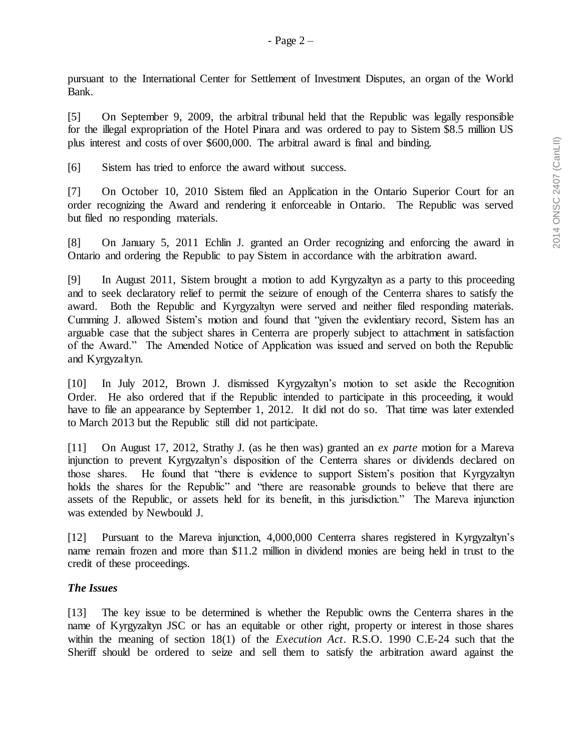pursuant to the International Center for Settlement of Investment Disputes, an organ of the World Bank.

[5] On September 9, 2009, the arbitral tribunal held that the Republic was legally responsible for the illegal expropriation of the Hotel Pinara and was ordered to pay to Sistem \$8.5 million US plus interest and costs of over \$600,000. The arbitral award is final and binding.

[6] Sistem has tried to enforce the award without success.

[7] On October 10, 2010 Sistem filed an Application in the Ontario Superior Court for an order recognizing the Award and rendering it enforceable in Ontario. The Republic was served but filed no responding materials.

[8] On January 5, 2011 Echlin J. granted an Order recognizing and enforcing the award in Ontario and ordering the Republic to pay Sistem in accordance with the arbitration award.

[9] In August 2011, Sistem brought a motion to add Kyrgyzaltyn as a party to this proceeding and to seek declaratory relief to permit the seizure of enough of the Centerra shares to satisfy the award. Both the Republic and Kyrgyzaltyn were served and neither filed responding materials. Cumming J. allowed Sistem's motion and found that "given the evidentiary record, Sistem has an arguable case that the subject shares in Centerra are properly subject to attachment in satisfaction of the Award." The Amended Notice of Application was issued and served on both the Republic and Kyrgyzaltyn.

[10] In July 2012, Brown J. dismissed Kyrgyzaltyn's motion to set aside the Recognition Order. He also ordered that if the Republic intended to participate in this proceeding, it would have to file an appearance by September 1, 2012. It did not do so. That time was later extended to March 2013 but the Republic still did not participate.

[11] On August 17, 2012, Strathy J. (as he then was) granted an *ex parte* motion for a Mareva injunction to prevent Kyrgyzaltyn's disposition of the Centerra shares or dividends declared on those shares. He found that "there is evidence to support Sistem's position that Kyrgyzaltyn holds the shares for the Republic" and "there are reasonable grounds to believe that there are assets of the Republic, or assets held for its benefit, in this jurisdiction." The Mareva injunction was extended by Newbould J.

[12] Pursuant to the Mareva injunction, 4,000,000 Centerra shares registered in Kyrgyzaltyn's name remain frozen and more than \$11.2 million in dividend monies are being held in trust to the credit of these proceedings.

#### *The Issues*

[13] The key issue to be determined is whether the Republic owns the Centerra shares in the name of Kyrgyzaltyn JSC or has an equitable or other right, property or interest in those shares within the meaning of section 18(1) of the *Execution Act*. R.S.O. 1990 C.E-24 such that the Sheriff should be ordered to seize and sell them to satisfy the arbitration award against the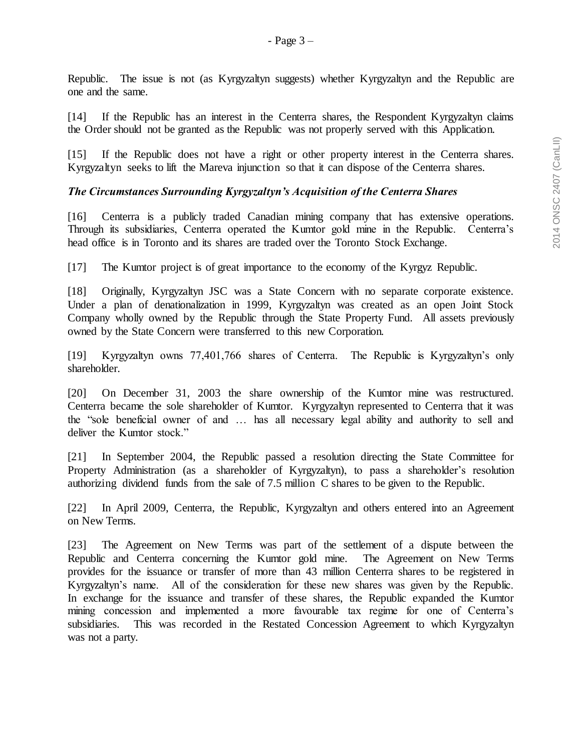Republic. The issue is not (as Kyrgyzaltyn suggests) whether Kyrgyzaltyn and the Republic are one and the same.

[14] If the Republic has an interest in the Centerra shares, the Respondent Kyrgyzaltyn claims the Order should not be granted as the Republic was not properly served with this Application.

[15] If the Republic does not have a right or other property interest in the Centerra shares. Kyrgyzaltyn seeks to lift the Mareva injunction so that it can dispose of the Centerra shares.

## *The Circumstances Surrounding Kyrgyzaltyn's Acquisition of the Centerra Shares*

[16] Centerra is a publicly traded Canadian mining company that has extensive operations. Through its subsidiaries, Centerra operated the Kumtor gold mine in the Republic. Centerra's head office is in Toronto and its shares are traded over the Toronto Stock Exchange.

[17] The Kumtor project is of great importance to the economy of the Kyrgyz Republic.

[18] Originally, Kyrgyzaltyn JSC was a State Concern with no separate corporate existence. Under a plan of denationalization in 1999, Kyrgyzaltyn was created as an open Joint Stock Company wholly owned by the Republic through the State Property Fund. All assets previously owned by the State Concern were transferred to this new Corporation.

[19] Kyrgyzaltyn owns 77,401,766 shares of Centerra. The Republic is Kyrgyzaltyn's only shareholder.

[20] On December 31, 2003 the share ownership of the Kumtor mine was restructured. Centerra became the sole shareholder of Kumtor. Kyrgyzaltyn represented to Centerra that it was the "sole beneficial owner of and … has all necessary legal ability and authority to sell and deliver the Kumtor stock."

[21] In September 2004, the Republic passed a resolution directing the State Committee for Property Administration (as a shareholder of Kyrgyzaltyn), to pass a shareholder's resolution authorizing dividend funds from the sale of 7.5 million C shares to be given to the Republic.

[22] In April 2009, Centerra, the Republic, Kyrgyzaltyn and others entered into an Agreement on New Terms.

[23] The Agreement on New Terms was part of the settlement of a dispute between the Republic and Centerra concerning the Kumtor gold mine. The Agreement on New Terms provides for the issuance or transfer of more than 43 million Centerra shares to be registered in Kyrgyzaltyn's name. All of the consideration for these new shares was given by the Republic. In exchange for the issuance and transfer of these shares, the Republic expanded the Kumtor mining concession and implemented a more favourable tax regime for one of Centerra's subsidiaries. This was recorded in the Restated Concession Agreement to which Kyrgyzaltyn was not a party.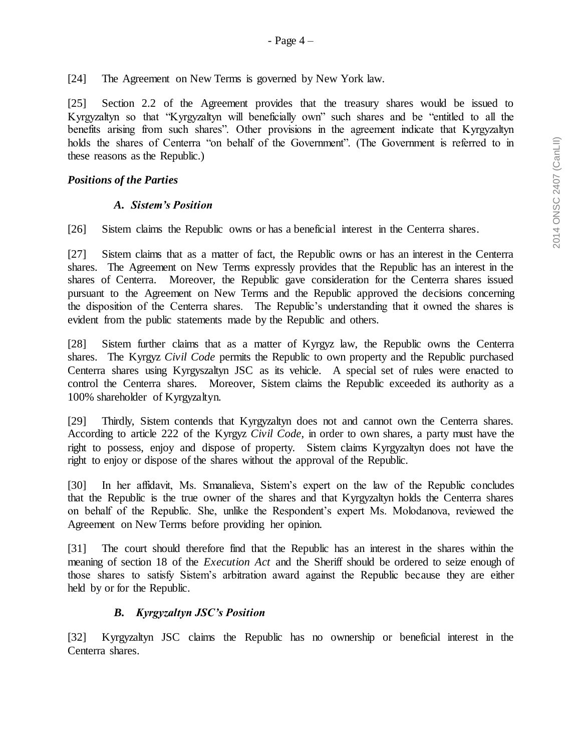[24] The Agreement on New Terms is governed by New York law.

[25] Section 2.2 of the Agreement provides that the treasury shares would be issued to Kyrgyzaltyn so that "Kyrgyzaltyn will beneficially own" such shares and be "entitled to all the benefits arising from such shares". Other provisions in the agreement indicate that Kyrgyzaltyn holds the shares of Centerra "on behalf of the Government". (The Government is referred to in these reasons as the Republic.)

## *Positions of the Parties*

## *A. Sistem's Position*

[26] Sistem claims the Republic owns or has a beneficial interest in the Centerra shares.

[27] Sistem claims that as a matter of fact, the Republic owns or has an interest in the Centerra shares. The Agreement on New Terms expressly provides that the Republic has an interest in the shares of Centerra. Moreover, the Republic gave consideration for the Centerra shares issued pursuant to the Agreement on New Terms and the Republic approved the decisions concerning the disposition of the Centerra shares. The Republic's understanding that it owned the shares is evident from the public statements made by the Republic and others.

[28] Sistem further claims that as a matter of Kyrgyz law, the Republic owns the Centerra shares. The Kyrgyz *Civil Code* permits the Republic to own property and the Republic purchased Centerra shares using Kyrgyszaltyn JSC as its vehicle. A special set of rules were enacted to control the Centerra shares. Moreover, Sistem claims the Republic exceeded its authority as a 100% shareholder of Kyrgyzaltyn.

[29] Thirdly, Sistem contends that Kyrgyzaltyn does not and cannot own the Centerra shares. According to article 222 of the Kyrgyz *Civil Code*, in order to own shares, a party must have the right to possess, enjoy and dispose of property. Sistem claims Kyrgyzaltyn does not have the right to enjoy or dispose of the shares without the approval of the Republic.

[30] In her affidavit, Ms. Smanalieva, Sistem's expert on the law of the Republic concludes that the Republic is the true owner of the shares and that Kyrgyzaltyn holds the Centerra shares on behalf of the Republic. She, unlike the Respondent's expert Ms. Molodanova, reviewed the Agreement on New Terms before providing her opinion.

[31] The court should therefore find that the Republic has an interest in the shares within the meaning of section 18 of the *Execution Act* and the Sheriff should be ordered to seize enough of those shares to satisfy Sistem's arbitration award against the Republic because they are either held by or for the Republic.

# *B. Kyrgyzaltyn JSC's Position*

[32] Kyrgyzaltyn JSC claims the Republic has no ownership or beneficial interest in the Centerra shares.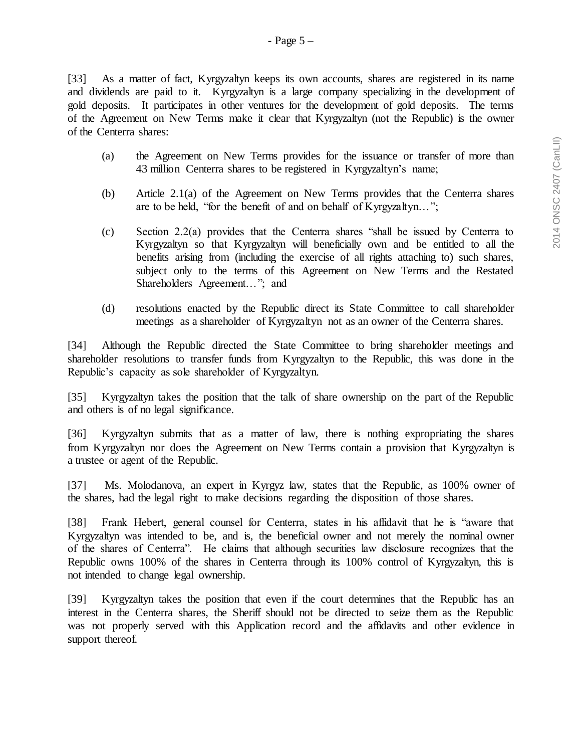[33] As a matter of fact, Kyrgyzaltyn keeps its own accounts, shares are registered in its name and dividends are paid to it. Kyrgyzaltyn is a large company specializing in the development of gold deposits. It participates in other ventures for the development of gold deposits. The terms of the Agreement on New Terms make it clear that Kyrgyzaltyn (not the Republic) is the owner of the Centerra shares:

- (a) the Agreement on New Terms provides for the issuance or transfer of more than 43 million Centerra shares to be registered in Kyrgyzaltyn's name;
- (b) Article 2.1(a) of the Agreement on New Terms provides that the Centerra shares are to be held, "for the benefit of and on behalf of Kyrgyzaltyn…";
- (c) Section 2.2(a) provides that the Centerra shares "shall be issued by Centerra to Kyrgyzaltyn so that Kyrgyzaltyn will beneficially own and be entitled to all the benefits arising from (including the exercise of all rights attaching to) such shares, subject only to the terms of this Agreement on New Terms and the Restated Shareholders Agreement…"; and
- (d) resolutions enacted by the Republic direct its State Committee to call shareholder meetings as a shareholder of Kyrgyzaltyn not as an owner of the Centerra shares.

[34] Although the Republic directed the State Committee to bring shareholder meetings and shareholder resolutions to transfer funds from Kyrgyzaltyn to the Republic, this was done in the Republic's capacity as sole shareholder of Kyrgyzaltyn.

[35] Kyrgyzaltyn takes the position that the talk of share ownership on the part of the Republic and others is of no legal significance.

[36] Kyrgyzaltyn submits that as a matter of law, there is nothing expropriating the shares from Kyrgyzaltyn nor does the Agreement on New Terms contain a provision that Kyrgyzaltyn is a trustee or agent of the Republic.

[37] Ms. Molodanova, an expert in Kyrgyz law, states that the Republic, as 100% owner of the shares, had the legal right to make decisions regarding the disposition of those shares.

[38] Frank Hebert, general counsel for Centerra, states in his affidavit that he is "aware that Kyrgyzaltyn was intended to be, and is, the beneficial owner and not merely the nominal owner of the shares of Centerra". He claims that although securities law disclosure recognizes that the Republic owns 100% of the shares in Centerra through its 100% control of Kyrgyzaltyn, this is not intended to change legal ownership.

[39] Kyrgyzaltyn takes the position that even if the court determines that the Republic has an interest in the Centerra shares, the Sheriff should not be directed to seize them as the Republic was not properly served with this Application record and the affidavits and other evidence in support thereof.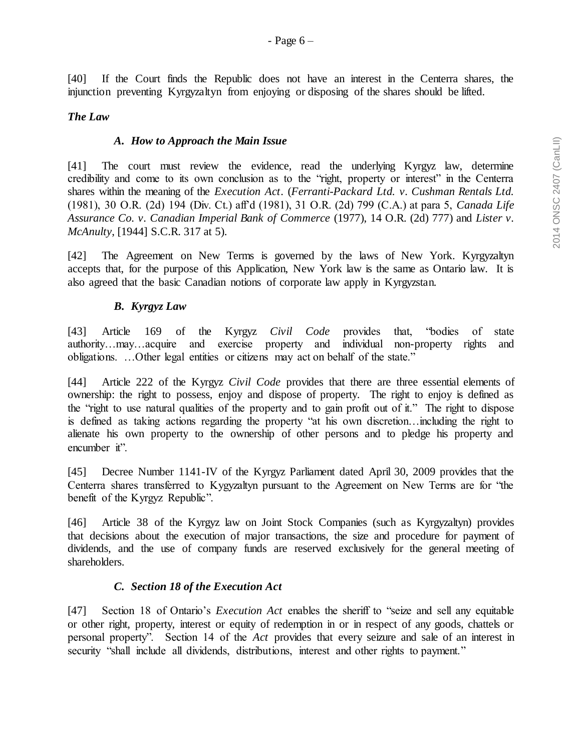[40] If the Court finds the Republic does not have an interest in the Centerra shares, the injunction preventing Kyrgyzaltyn from enjoying or disposing of the shares should be lifted.

## *The Law*

#### *A. How to Approach the Main Issue*

[41] The court must review the evidence, read the underlying Kyrgyz law, determine credibility and come to its own conclusion as to the "right, property or interest" in the Centerra shares within the meaning of the *Execution Act*. (*Ferranti-Packard Ltd. v. Cushman Rentals Ltd.*  (1981), 30 O.R. (2d) 194 (Div. Ct.) aff'd (1981), 31 O.R. (2d) 799 (C.A.) at para 5, *Canada Life Assurance Co. v. Canadian Imperial Bank of Commerce* (1977), 14 O.R. (2d) 777) and *Lister v. McAnulty*, [1944] S.C.R. 317 at 5).

[42] The Agreement on New Terms is governed by the laws of New York. Kyrgyzaltyn accepts that, for the purpose of this Application, New York law is the same as Ontario law. It is also agreed that the basic Canadian notions of corporate law apply in Kyrgyzstan.

## *B. Kyrgyz Law*

[43] Article 169 of the Kyrgyz *Civil Code* provides that, "bodies of state authority…may…acquire and exercise property and individual non-property rights and obligations. …Other legal entities or citizens may act on behalf of the state."

[44] Article 222 of the Kyrgyz *Civil Code* provides that there are three essential elements of ownership: the right to possess, enjoy and dispose of property. The right to enjoy is defined as the "right to use natural qualities of the property and to gain profit out of it." The right to dispose is defined as taking actions regarding the property "at his own discretion…including the right to alienate his own property to the ownership of other persons and to pledge his property and encumber it".

[45] Decree Number 1141-IV of the Kyrgyz Parliament dated April 30, 2009 provides that the Centerra shares transferred to Kygyzaltyn pursuant to the Agreement on New Terms are for "the benefit of the Kyrgyz Republic".

[46] Article 38 of the Kyrgyz law on Joint Stock Companies (such as Kyrgyzaltyn) provides that decisions about the execution of major transactions, the size and procedure for payment of dividends, and the use of company funds are reserved exclusively for the general meeting of shareholders.

#### *C. Section 18 of the Execution Act*

[47] Section 18 of Ontario's *Execution Act* enables the sheriff to "seize and sell any equitable or other right, property, interest or equity of redemption in or in respect of any goods, chattels or personal property". Section 14 of the *Act* provides that every seizure and sale of an interest in security "shall include all dividends, distributions, interest and other rights to payment."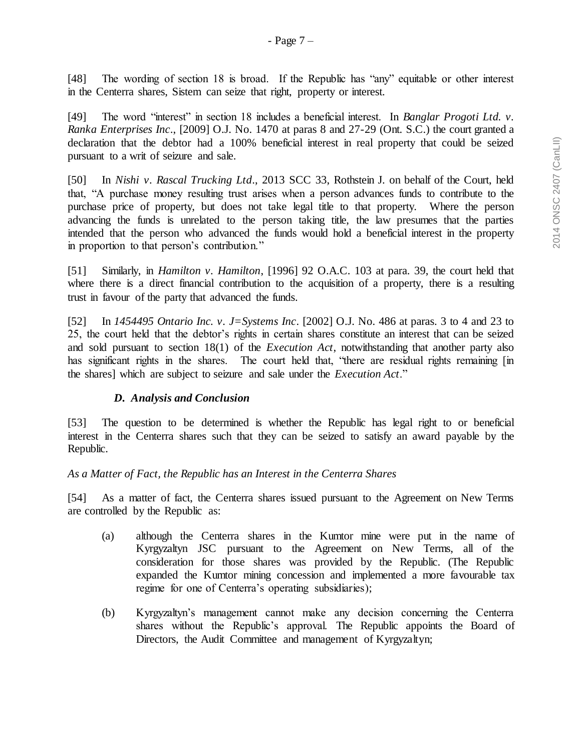[48] The wording of section 18 is broad. If the Republic has "any" equitable or other interest in the Centerra shares, Sistem can seize that right, property or interest.

[49] The word "interest" in section 18 includes a beneficial interest. In *Banglar Progoti Ltd. v. Ranka Enterprises Inc*., [2009] O.J. No. 1470 at paras 8 and 27-29 (Ont. S.C.) the court granted a declaration that the debtor had a 100% beneficial interest in real property that could be seized pursuant to a writ of seizure and sale.

[50] In *Nishi v. Rascal Trucking Ltd*., 2013 SCC 33, Rothstein J. on behalf of the Court, held that, "A purchase money resulting trust arises when a person advances funds to contribute to the purchase price of property, but does not take legal title to that property. Where the person advancing the funds is unrelated to the person taking title, the law presumes that the parties intended that the person who advanced the funds would hold a beneficial interest in the property in proportion to that person's contribution."

[51] Similarly, in *Hamilton v. Hamilton*, [1996] 92 O.A.C. 103 at para. 39, the court held that where there is a direct financial contribution to the acquisition of a property, there is a resulting trust in favour of the party that advanced the funds.

[52] In *1454495 Ontario Inc. v. J=Systems Inc*. [2002] O.J. No. 486 at paras. 3 to 4 and 23 to 25, the court held that the debtor's rights in certain shares constitute an interest that can be seized and sold pursuant to section 18(1) of the *Execution Act*, notwithstanding that another party also has significant rights in the shares. The court held that, "there are residual rights remaining [in the shares] which are subject to seizure and sale under the *Execution Act*."

# *D. Analysis and Conclusion*

[53] The question to be determined is whether the Republic has legal right to or beneficial interest in the Centerra shares such that they can be seized to satisfy an award payable by the Republic.

# *As a Matter of Fact, the Republic has an Interest in the Centerra Shares*

[54] As a matter of fact, the Centerra shares issued pursuant to the Agreement on New Terms are controlled by the Republic as:

- (a) although the Centerra shares in the Kumtor mine were put in the name of Kyrgyzaltyn JSC pursuant to the Agreement on New Terms, all of the consideration for those shares was provided by the Republic. (The Republic expanded the Kumtor mining concession and implemented a more favourable tax regime for one of Centerra's operating subsidiaries);
- (b) Kyrgyzaltyn's management cannot make any decision concerning the Centerra shares without the Republic's approval. The Republic appoints the Board of Directors, the Audit Committee and management of Kyrgyzaltyn;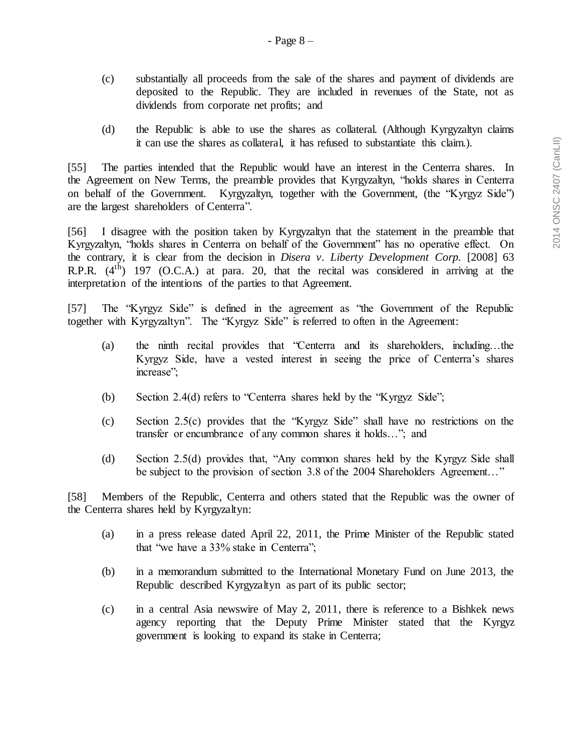- (c) substantially all proceeds from the sale of the shares and payment of dividends are deposited to the Republic. They are included in revenues of the State, not as dividends from corporate net profits; and
- (d) the Republic is able to use the shares as collateral. (Although Kyrgyzaltyn claims it can use the shares as collateral, it has refused to substantiate this claim.).

[55] The parties intended that the Republic would have an interest in the Centerra shares. In the Agreement on New Terms, the preamble provides that Kyrgyzaltyn, "holds shares in Centerra on behalf of the Government. Kyrgyzaltyn, together with the Government, (the "Kyrgyz Side") are the largest shareholders of Centerra".

[56] I disagree with the position taken by Kyrgyzaltyn that the statement in the preamble that Kyrgyzaltyn, "holds shares in Centerra on behalf of the Government" has no operative effect. On the contrary, it is clear from the decision in *Disera v. Liberty Development Corp.* [2008] 63 R.P.R.  $(4^{th})$  197 (O.C.A.) at para. 20, that the recital was considered in arriving at the interpretation of the intentions of the parties to that Agreement.

[57] The "Kyrgyz Side" is defined in the agreement as "the Government of the Republic together with Kyrgyzaltyn". The "Kyrgyz Side" is referred to often in the Agreement:

- (a) the ninth recital provides that "Centerra and its shareholders, including…the Kyrgyz Side, have a vested interest in seeing the price of Centerra's shares increase";
- (b) Section 2.4(d) refers to "Centerra shares held by the "Kyrgyz Side";
- (c) Section 2.5(c) provides that the "Kyrgyz Side" shall have no restrictions on the transfer or encumbrance of any common shares it holds…"; and
- (d) Section 2.5(d) provides that, "Any common shares held by the Kyrgyz Side shall be subject to the provision of section 3.8 of the 2004 Shareholders Agreement…"

[58] Members of the Republic, Centerra and others stated that the Republic was the owner of the Centerra shares held by Kyrgyzaltyn:

- (a) in a press release dated April 22, 2011, the Prime Minister of the Republic stated that "we have a 33% stake in Centerra";
- (b) in a memorandum submitted to the International Monetary Fund on June 2013, the Republic described Kyrgyzaltyn as part of its public sector;
- (c) in a central Asia newswire of May 2, 2011, there is reference to a Bishkek news agency reporting that the Deputy Prime Minister stated that the Kyrgyz government is looking to expand its stake in Centerra;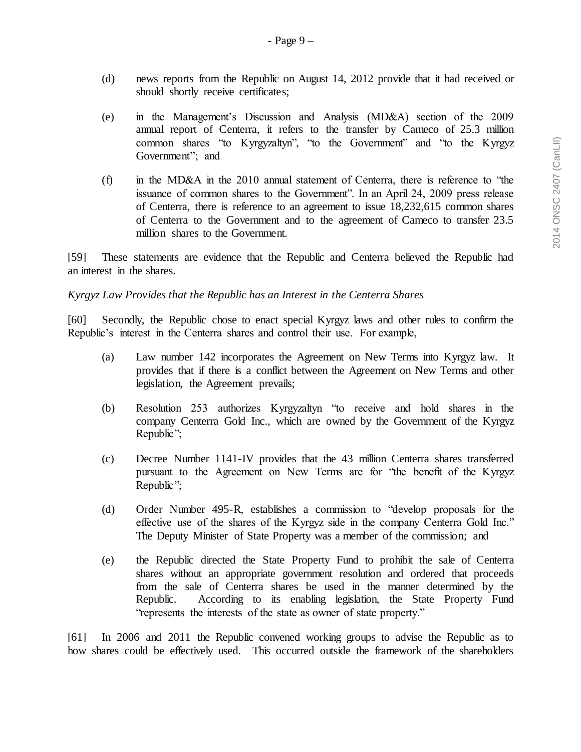- (d) news reports from the Republic on August 14, 2012 provide that it had received or should shortly receive certificates;
- (e) in the Management's Discussion and Analysis (MD&A) section of the 2009 annual report of Centerra, it refers to the transfer by Cameco of 25.3 million common shares "to Kyrgyzaltyn", "to the Government" and "to the Kyrgyz Government"; and
- (f) in the MD&A in the 2010 annual statement of Centerra, there is reference to "the issuance of common shares to the Government". In an April 24, 2009 press release of Centerra, there is reference to an agreement to issue 18,232,615 common shares of Centerra to the Government and to the agreement of Cameco to transfer 23.5 million shares to the Government.

[59] These statements are evidence that the Republic and Centerra believed the Republic had an interest in the shares.

#### *Kyrgyz Law Provides that the Republic has an Interest in the Centerra Shares*

[60] Secondly, the Republic chose to enact special Kyrgyz laws and other rules to confirm the Republic's interest in the Centerra shares and control their use. For example,

- (a) Law number 142 incorporates the Agreement on New Terms into Kyrgyz law. It provides that if there is a conflict between the Agreement on New Terms and other legislation, the Agreement prevails;
- (b) Resolution 253 authorizes Kyrgyzaltyn "to receive and hold shares in the company Centerra Gold Inc., which are owned by the Government of the Kyrgyz Republic";
- (c) Decree Number 1141-IV provides that the 43 million Centerra shares transferred pursuant to the Agreement on New Terms are for "the benefit of the Kyrgyz Republic";
- (d) Order Number 495-R, establishes a commission to "develop proposals for the effective use of the shares of the Kyrgyz side in the company Centerra Gold Inc." The Deputy Minister of State Property was a member of the commission; and
- (e) the Republic directed the State Property Fund to prohibit the sale of Centerra shares without an appropriate government resolution and ordered that proceeds from the sale of Centerra shares be used in the manner determined by the Republic. According to its enabling legislation, the State Property Fund "represents the interests of the state as owner of state property."

[61] In 2006 and 2011 the Republic convened working groups to advise the Republic as to how shares could be effectively used. This occurred outside the framework of the shareholders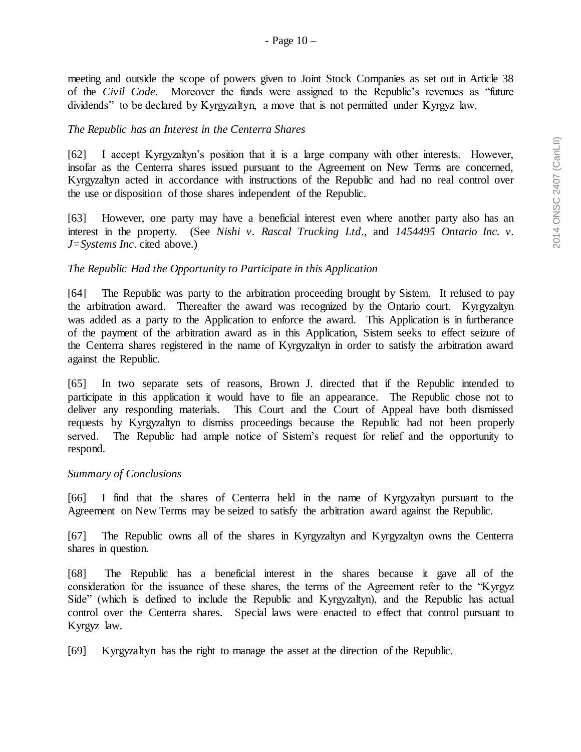meeting and outside the scope of powers given to Joint Stock Companies as set out in Article 38 of the *Civil Code.* Moreover the funds were assigned to the Republic's revenues as "future dividends" to be declared by Kyrgyzaltyn, a move that is not permitted under Kyrgyz law.

## *The Republic has an Interest in the Centerra Shares*

[62] I accept Kyrgyzaltyn's position that it is a large company with other interests. However, insofar as the Centerra shares issued pursuant to the Agreement on New Terms are concerned, Kyrgyzaltyn acted in accordance with instructions of the Republic and had no real control over the use or disposition of those shares independent of the Republic.

[63] However, one party may have a beneficial interest even where another party also has an interest in the property. (See *Nishi v. Rascal Trucking Ltd*., and *1454495 Ontario Inc. v. J=Systems Inc*. cited above.)

## *The Republic Had the Opportunity to Participate in this Application*

[64] The Republic was party to the arbitration proceeding brought by Sistem. It refused to pay the arbitration award. Thereafter the award was recognized by the Ontario court. Kyrgyzaltyn was added as a party to the Application to enforce the award. This Application is in furtherance of the payment of the arbitration award as in this Application, Sistem seeks to effect seizure of the Centerra shares registered in the name of Kyrgyzaltyn in order to satisfy the arbitration award against the Republic.

[65] In two separate sets of reasons, Brown J. directed that if the Republic intended to participate in this application it would have to file an appearance. The Republic chose not to deliver any responding materials. This Court and the Court of Appeal have both dismissed requests by Kyrgyzaltyn to dismiss proceedings because the Republic had not been properly served. The Republic had ample notice of Sistem's request for relief and the opportunity to respond.

#### *Summary of Conclusions*

[66] I find that the shares of Centerra held in the name of Kyrgyzaltyn pursuant to the Agreement on New Terms may be seized to satisfy the arbitration award against the Republic.

[67] The Republic owns all of the shares in Kyrgyzaltyn and Kyrgyzaltyn owns the Centerra shares in question.

[68] The Republic has a beneficial interest in the shares because it gave all of the consideration for the issuance of these shares, the terms of the Agreement refer to the "Kyrgyz Side" (which is defined to include the Republic and Kyrgyzaltyn), and the Republic has actual control over the Centerra shares. Special laws were enacted to effect that control pursuant to Kyrgyz law.

[69] Kyrgyzaltyn has the right to manage the asset at the direction of the Republic.